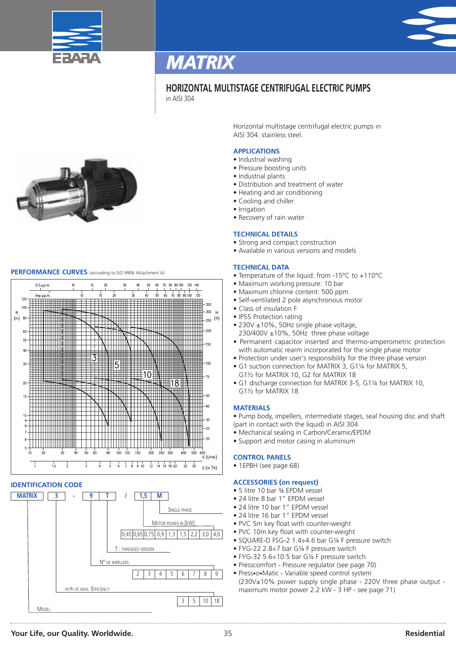



### **HORIZONTAL MULTISTAGE CENTRIFUGAL ELECTRIC PUMPS** in AISI 304



### **PERFORMANCE CURVES** (according to ISO <sup>9906</sup> Attachment A)



### **IDENTIFICATION CODE**



Horizontal multistage centrifugal electric pumps in AISI 304. stainless steel.

### **APPLICATIONS**

- Industrial washing
- Pressure boosting units
- Industrial plants
- Distribution and treatment of water
- Heating and air conditioning
- Cooling and chiller
- Irrigation
- Recovery of rain water

### **TECHNICAL DETAILS**

- Strong and compact construction
- Available in various versions and models

### **TECHNICAL DATA**

- Temperature of the liquid: from -15°C to +110°C
- Maximum working pressure: 10 bar
- Maximum chlorine content: 500 ppm
- Self-ventilated 2 pole asynchronous motor
- Class of insulation F
- IP55 Protection rating
- 230V ±10%, 50Hz single phase voltage.
- 230/400V ±10%, 50Hz three phase voltage • Permanent capacitor inserted and thermo-amperometric protection with automatic rearm incorporated for the single phase motor
- Protection under user's responsibility for the three phase version
- G1 suction connection for MATRIX 3, G1¼ for MATRIX 5, G1½ for MATRIX 10, G2 for MATRIX 18
- G1 discharge connection for MATRIX 3-5, G1¼ for MATRIX 10, G1½ for MATRIX 18

### **MATERIALS**

• Pump body, impellers, intermediate stages, seal housing disc and shaft (part in contact with the liquid) in AISI 304

- Mechanical sealing in Carbon/Ceramic/EPDM
- Support and motor casing in aluminium

#### **CONTROL PANELS**

• 1EPBH (see page 68)

#### **ACCESSORIES (on request)**

- 5 litre 10 bar 34 EPDM vessel
- 24 litre 8 bar 1" EPDM vessel
- 24 litre 10 bar 1" EPDM vessel
- 24 litre 16 bar 1" EPDM vessel
- PVC 5m key float with counter-weight
- PVC 10m key float with counter-weight
- SQUARE-D FSG-2 1.4÷4.6 bar G¼ F pressure switch
- FYG-22 2.8÷7 bar G¼ F pressure switch
- FYG-32 5.6÷10.5 bar G¼ F pressure switch
- Presscomfort Pressure regulator (see page 70)
- Press•o•Matic Variable speed control system (230V±10% power supply single phase - 220V three phase output maximum motor power 2.2 kW - 3 HP - see page 71)

### **Your Life, our Quality. Worldwide.** 35 **Residential**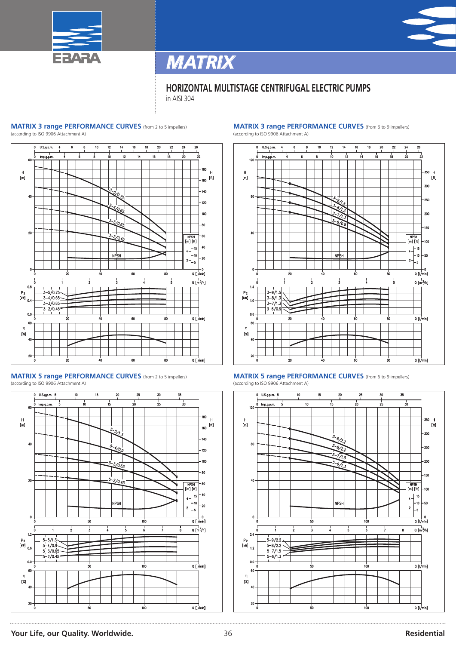

### **HORIZONTAL MULTISTAGE CENTRIFUGAL ELECTRIC PUMPS**

in AISI 304

### **MATRIX 3 range PERFORMANCE CURVES** (from <sup>2</sup> to <sup>5</sup> impellers)

(according to ISO 9906 Attachment A)







#### **MATRIX 3 range PERFORMANCE CURVES** (from <sup>6</sup> to <sup>9</sup> impellers) (according to ISO 9906 Attachment A)





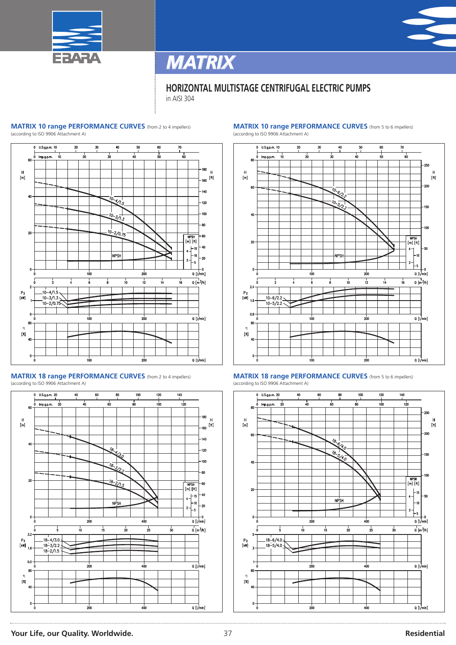

### **HORIZONTAL MULTISTAGE CENTRIFUGAL ELECTRIC PUMPS**

in AISI 304

### **MATRIX 10 range PERFORMANCE CURVES** (from <sup>2</sup> to <sup>4</sup> impellers)

 $\frac{1}{2}$  according to ISO 9906 Attachment A)



**MATRIX 18 range PERFORMANCE CURVES** (from <sup>2</sup> to <sup>4</sup> impellers) (according to ISO 9906 Attachment A)



#### **MATRIX 10 range PERFORMANCE CURVES** (from <sup>5</sup> to <sup>6</sup> impellers) (according to ISO 9906 Attachment A)







### **Your Life, our Quality. Worldwide.** 37 **Residential**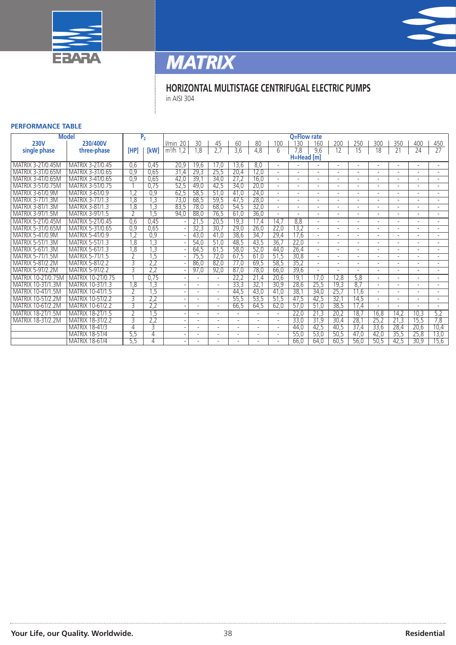



### **HORIZONTAL MULTISTAGE CENTRIFUGAL ELECTRIC PUMPS**

in AISI 304

### **PERFORMANCE TABLE**

| <b>Model</b>             |                         |      | $\overline{P_2}$        |                          |                          |                |      |      |                          | Q=Flow rate |                          |      |      |                |      |      |                |
|--------------------------|-------------------------|------|-------------------------|--------------------------|--------------------------|----------------|------|------|--------------------------|-------------|--------------------------|------|------|----------------|------|------|----------------|
| <b>230V</b>              | 230/400V                |      |                         | 20<br><i>l/min</i>       | 30                       | 45             | 60   | 80   | 100                      | 130         | 160                      | 200  | 250  | 300            | 350  | 400  | 450            |
| single phase             | three-phase             | [HP] | [kW]                    | 1,2<br>m <sup>3</sup> /h | 8,1                      | 2,7            | 3,6  | 4,8  | 6                        | 7,8         | 9.6                      | 12   | 15   | 18             | 21   | 24   | 27             |
|                          |                         |      |                         |                          |                          |                |      |      |                          | H=Head [m]  |                          |      |      |                |      |      |                |
| MATRIX 3-2T/0.45M        | MATRIX 3-2T/0.45        | 0.6  | 0,45                    | 20,9                     | 19.6                     | 17.0           | 13.6 | 8,0  |                          |             |                          |      |      |                |      |      |                |
| MATRIX 3-3T/0.65M        | MATRIX 3-3T/0.65        | 0,9  | 0,65                    | 31,4                     | 29,3                     | 25,5           | 20,4 | 12,0 |                          |             |                          |      |      |                |      |      |                |
| MATRIX 3-4T/0.65N        | MATRIX 3-4T/0.65        | 0.9  | 0,65                    | 42,0                     | 39.7                     | 34,0           | 27.2 | 16,0 |                          |             |                          |      |      |                |      |      |                |
| MATRIX 3-5T/0.75M        | <b>MATRIX 3-5T/0.75</b> |      | 0,75                    | 52,5                     | 49,0                     | 42,5           | 34,0 | 20,0 |                          |             |                          |      |      |                |      |      |                |
| <b>MATRIX 3-6T/0.9M</b>  | MATRIX 3-6T/0.9         | .2   | 0,9                     | 62,5                     | 58,5                     | 51,0           | 41,0 | 24,0 |                          |             |                          |      |      |                |      |      |                |
| <b>MATRIX 3-7T/1.3M</b>  | <b>MATRIX 3-7T/1.3</b>  | .8   | $\overline{c}$          | 73,0                     | 68,5                     | 59,5           | 47,5 | 28,0 |                          |             |                          |      |      |                |      |      |                |
| MATRIX 3-8T/1.3M         | <b>MATRIX 3-8T/1.3</b>  | .8   | 3,                      | 83,5                     | 78.0                     | 68,0           | 54,5 | 32,0 |                          |             |                          |      |      |                |      |      |                |
| <b>MATRIX 3-9T/1.5M</b>  | <b>MATRIX 3-9T/1.5</b>  |      | .5                      | 94,0                     | 88,0                     | 76,5           | 61,0 | 36,0 |                          |             |                          |      |      |                |      |      |                |
| MATRIX 5-2T/0 45M        | <b>MATRIX 5-2T/0.45</b> | 0,6  | 0,45                    |                          | 21,5                     | 20,5           | 19,3 | 17,4 | 14,7                     | 8,8         |                          |      |      |                |      |      |                |
| MATRIX 5-3T/0.65M        | MATRIX 5-3T/0.65        | 0,9  | 0,65                    |                          | 32,3                     | 30,7           | 29,0 | 26,0 | 22,0                     | 13,2        |                          |      |      |                |      |      |                |
| <b>MATRIX 5-4T/0.9M</b>  | <b>MATRIX 5-4T/0.9</b>  | ,2   | 0,9                     |                          | 43,0                     | 41,0           | 38,6 | 34.7 | 29,4                     | 17,6        |                          |      |      |                |      |      |                |
| <b>MATRIX 5-5T/1.3N</b>  | <b>MATRIX 5-5T/1.3</b>  | .8   | $\overline{3}$          |                          | 54,0                     | 51,0           | 48.5 | 43.5 | 36,7                     | 22,0        | $\overline{a}$           |      |      |                |      |      | $\overline{a}$ |
| MATRIX 5-6T/1.3M         | <b>MATRIX 5-6T/1.3</b>  | 8,   | ,3                      |                          | 64,5                     | 61,5           | 58,0 | 52,0 | 44,0                     | 26,4        | $\overline{\phantom{a}}$ |      |      |                |      |      |                |
| <b>MATRIX 5-7T/1.5M</b>  | <b>MATRIX 5-7T/1.5</b>  |      | 1,5                     |                          | 75,5                     | 72,0           | 67,5 | 61.0 | 51,5                     | 30,8        |                          |      |      |                |      |      |                |
| <b>MATRIX 5-8T/2.2M</b>  | <b>MATRIX 5-8T/2.2</b>  | 3    | $\overline{2,2}$        |                          | 86,0                     | 82,0           | 77,0 | 69,5 | 58,5                     | 35,2        | $\overline{\phantom{a}}$ |      |      |                |      |      |                |
| <b>MATRIX 5-9T/2.2M</b>  | <b>MATRIX 5-9T/2.2</b>  | ₹    | 2,2                     |                          | 97,0                     | 92,0           | 87,0 | 78,0 | 66,0                     | 39.6        | $\overline{\phantom{a}}$ |      |      |                |      |      |                |
| MATRIX 10-2T/0.75M       | MATRIX 10-2T/0.75       |      | 0,75                    |                          |                          | $\overline{a}$ | 22,2 | 21,4 | 20,6                     | 19.1        | 17,0                     | 12.8 | 5.8  |                |      |      |                |
| MATRIX 10-3T/1.3N        | MATRIX 10-3T/1.3        | .8   | $\overline{\mathbf{3}}$ |                          |                          | $\overline{a}$ | 33,3 | 32.7 | 30,9                     | 28,6        | 25,5                     | 19,3 | 8.7  | $\overline{a}$ |      |      |                |
| MATRIX 10-4T/1.5M        | MATRIX 10-4T/1 5        |      | .5                      |                          | $\overline{\phantom{a}}$ | $\overline{a}$ | 44,5 | 43,0 | 41,0                     | 38.7        | 34,0                     | 25,7 | 11.6 |                |      |      |                |
| MATRIX 10-5T/2.2M        | MATRIX 10-5T/2.2        |      | 2.2                     |                          |                          |                | 55.5 | 53,5 | 51,5                     | 47,5        | 42,5                     | 32.1 | 14,5 |                |      |      |                |
| <b>MATRIX 10-6T/2.2M</b> | MATRIX 10-6T/2.2        | 3    | 2,2                     |                          |                          | $\overline{a}$ | 66.5 | 64,5 | 62,0                     | 57,0        | 51,0                     | 38,5 | 17,4 |                |      |      |                |
| <b>MATRIX 18-2T/1.5M</b> | MATRIX 18-2T/1.5        |      | .5                      |                          |                          |                |      |      | $\overline{\phantom{0}}$ | 22,0        | 21,3                     | 20.2 | 18.7 | 16,8           | 14,2 | 10,3 | 5,2            |
| <b>MATRIX 18-3T/2.2M</b> | <b>MATRIX 18-3T/2.2</b> | २    | 2,2                     |                          |                          |                |      |      | $\overline{\phantom{a}}$ | 33,0        | 31,9                     | 30,4 | 28,1 | 25,2           | 21,3 | 15,5 | 7,8            |
|                          | <b>MATRIX 18-4T/3</b>   | 4    | 3                       |                          |                          |                |      |      |                          | 44,0        | 42,5                     | 40,5 | 37,4 | 33,6           | 28,4 | 20,6 | 10,4           |
|                          | <b>MATRIX 18-5T/4</b>   | 5,5  | 4                       |                          |                          |                |      |      |                          | 55,0        | 53,0                     | 50,5 | 47,0 | 42,0           | 35,5 | 25,8 | 13,0           |
|                          | <b>MATRIX 18-6T/4</b>   | 5,5  | 4                       |                          |                          |                |      |      |                          | 66,0        | 64,0                     | 60,5 | 56,0 | 50,5           | 42,5 | 30,9 | 15,6           |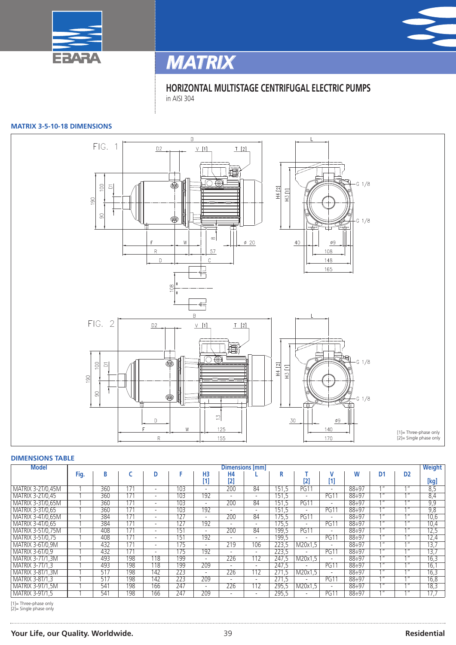



**HORIZONTAL MULTISTAGE CENTRIFUGAL ELECTRIC PUMPS** in AISI 304

### **MATRIX 3-5-10-18 DIMENSIONS**



### **DIMENSIONS TABLE**

| <b>Model</b>             | <b>Dimensions [mm]</b> |     |     |                          |     |                          |                          |                          |                    |                          |                          | <b>Weight</b> |     |                                |                 |
|--------------------------|------------------------|-----|-----|--------------------------|-----|--------------------------|--------------------------|--------------------------|--------------------|--------------------------|--------------------------|---------------|-----|--------------------------------|-----------------|
|                          | Fig.                   | В   |     | D                        |     | H3                       | Н4                       |                          | R                  |                          |                          | W             | D1  | D <sub>2</sub>                 |                 |
|                          |                        |     |     |                          |     | [1]                      | $[2]$                    |                          |                    | [2]                      | $[1]$                    |               |     |                                | [kg]            |
| MATRIX 3-2T/0,45M        |                        | 360 | 171 | $\overline{\phantom{0}}$ | 103 | $\overline{\phantom{a}}$ | 200                      | 84                       | 151,5              | PG1                      | $\overline{\phantom{a}}$ | $88 \div 97$  | 11  | 111                            | 8,5             |
| MATRIX 3-2T/0,45         |                        | 360 | 171 | $\overline{\phantom{0}}$ | 103 | 192                      | $\overline{\phantom{0}}$ | $\overline{\phantom{a}}$ | 151,5              | $\overline{\phantom{a}}$ | PG1                      | $88 \div 97$  | 111 | 111                            | 8,4             |
| <b>MATRIX 3-3T/0,65M</b> |                        | 360 | 171 | $\overline{\phantom{0}}$ | 103 | $\overline{\phantom{a}}$ | 200                      | 84                       | 151,5              | PG1 <sup>4</sup>         | $\overline{\phantom{a}}$ | $88 \div 97$  | 11  | $1$ $\overline{1}$             | 9,9             |
| MATRIX 3-3T/0,65         |                        | 360 | 171 | $\overline{\phantom{0}}$ | 103 | 192                      | $\overline{\phantom{0}}$ | $\overline{\phantom{a}}$ | $15\overline{1.5}$ | $\overline{\phantom{a}}$ | <b>PG11</b>              | $88 \div 97$  | 111 | 111                            | 9,8             |
| MATRIX 3-4T/0.65M        |                        | 384 | 171 | $\overline{\phantom{0}}$ | 127 | $\overline{\phantom{a}}$ | 200                      | 84                       | 175.5              | <b>PG11</b>              | $\overline{\phantom{a}}$ | $88 \div 97$  | 111 | 111                            | 10,6            |
| MATRIX 3-4T/0.65         |                        | 384 | 171 | $\overline{\phantom{0}}$ | 127 | 192                      | $\overline{\phantom{a}}$ | $\overline{\phantom{a}}$ | 175.5              | $\overline{\phantom{a}}$ | <b>PG11</b>              | $88 \div 97$  | 111 | 111                            | 10,4            |
| <b>MATRIX 3-5T/0,75M</b> |                        | 408 | 171 | $\overline{\phantom{0}}$ | 151 |                          | 200                      | 84                       | 199,5              | PG1                      | $\overline{\phantom{a}}$ | $88 \div 97$  | 111 | 111                            | 12,5            |
| MATRIX 3-5T/0,75         |                        | 408 | 171 | $\overline{\phantom{0}}$ | 151 | 192                      | $\overline{\phantom{0}}$ | $\overline{\phantom{a}}$ | 199,5              |                          | <b>PG11</b>              | $88 \div 97$  | 11  | 111                            | 12,4            |
| MATRIX 3-6T/0,9M         |                        | 432 | 171 | $\overline{\phantom{0}}$ | 175 | $\overline{\phantom{0}}$ | 219                      | 106                      | 223,5              | M20x1.5                  | $\overline{\phantom{a}}$ | $88 \div 97$  | 111 | 1 <sup>H</sup>                 | 13,7            |
| <b>MATRIX 3-6T/0.9</b>   |                        | 432 | 171 | $\overline{\phantom{0}}$ | 175 | 192                      | $\overline{\phantom{0}}$ | $\overline{\phantom{0}}$ | 223,5              |                          | <b>PG11</b>              | $88 \div 97$  | 111 | 111                            | 13.7            |
| <b>MATRIX 3-7T/1.3M</b>  |                        | 493 | 198 | 18                       | 199 | $\overline{\phantom{0}}$ | 226                      | 112                      | 247.5              | M20x1.5                  | $\overline{\phantom{a}}$ | $88 \div 97$  | 111 | 111                            | 16,3            |
| <b>MATRIX 3-7T/1.3</b>   |                        | 493 | 198 | 118                      | 199 | 209                      | $\overline{\phantom{a}}$ | $\overline{\phantom{a}}$ | 247.5              |                          | <b>PG11</b>              | $88 \div 97$  | 11  | 111                            | $\overline{16}$ |
| <b>MATRIX 3-8T/1,3M</b>  |                        | 517 | 198 | 142                      | 223 | $\overline{\phantom{a}}$ | 226                      | 112                      | 271.5              | M20x1.5                  | $\overline{\phantom{a}}$ | $88 \div 97$  | 11  | $\overline{4}$ $\overline{11}$ | 16,3            |
| <b>MATRIX 3-8T/1.3</b>   |                        | 517 | 198 | 142                      | 223 | 209                      | $\overline{\phantom{0}}$ | $\overline{\phantom{0}}$ | 271.5              |                          | <b>PG11</b>              | $88 \div 97$  | 111 | 111                            | 16,8            |
| <b>MATRIX 3-9T/1,5M</b>  |                        | 541 | 198 | 166                      | 247 | $\overline{a}$           | 226                      | $1\overline{12}$         | 295,5              | M20x1.5                  | $\overline{a}$           | $88 \div 97$  | 11  | 111                            | 18,3            |
| <b>MATRIX 3-9T/1.5</b>   |                        | 541 | 198 | 166                      | 247 | 209                      | $\overline{\phantom{a}}$ | $\overline{\phantom{a}}$ | 295,5              | $\overline{\phantom{a}}$ | PG1                      | $88 \div 97$  | 111 | 111                            | 17.7            |

[1]= Three-phase only [2]= Single phase only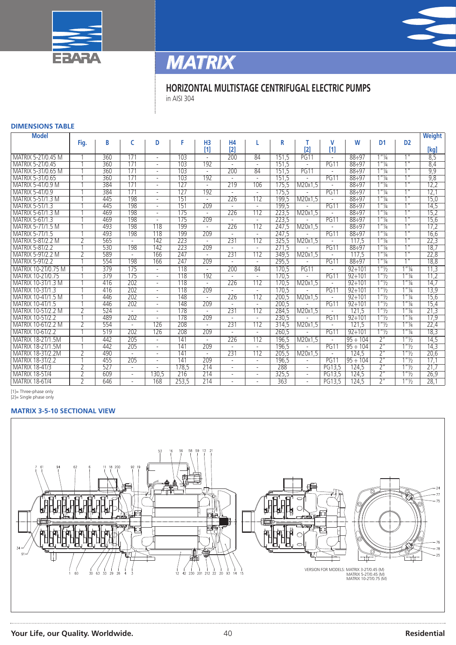



### **HORIZONTAL MULTISTAGE CENTRIFUGAL ELECTRIC PUMPS**

in AISI 304

### **DIMENSIONS TABLE**

| <b>Model</b>              |      |     |                          |                          |                  |                |                          |                |       |                          |                          |               |                                  |                                  | <b>Weight</b> |
|---------------------------|------|-----|--------------------------|--------------------------|------------------|----------------|--------------------------|----------------|-------|--------------------------|--------------------------|---------------|----------------------------------|----------------------------------|---------------|
|                           | Fig. | B   | C                        | D                        | F                | H <sub>3</sub> | <b>H4</b>                |                | R     |                          | v                        | W             | D <sub>1</sub>                   | D <sub>2</sub>                   |               |
|                           |      |     |                          |                          |                  | [1]            | $[2]$                    |                |       | [2]                      | $[1]$                    |               |                                  |                                  | [kg]          |
| MATRIX 5-2T/0 45 M        |      | 360 | 171                      | $\overline{a}$           | 103              |                | 200                      | 84             | 151.5 | PG11                     | $\overline{a}$           | $88 \div 97$  | $\frac{11}{4}$                   | 1 <sup>II</sup>                  | 8,5           |
| MATRIX 5-2T/0.45          |      | 360 | 171                      | $\overline{a}$           | 103              | 192            | $\overline{a}$           | $\overline{a}$ | 151.5 | $\overline{a}$           | <b>PG11</b>              | 88:97         | $1''\frac{1}{4}$                 | 111                              | 8,4           |
| <b>MATRIX 5-3T/0.65 M</b> |      | 360 | 171                      | $\overline{a}$           | 103              |                | 200                      | 84             | 151.5 | PG11                     |                          | 88:97         | $1''\frac{1}{4}$                 | 1 <sup>II</sup>                  | 9,9           |
| MATRIX 5-3T/0.65          |      | 360 | 171                      | $\overline{a}$           | 103              | 192            | $\overline{a}$           | $\overline{a}$ | 151.5 |                          | PG11                     | 88:97         | $1''\frac{1}{4}$                 | 1 <sup>H</sup>                   | 9,8           |
| <b>MATRIX 5-4T/0.9 M</b>  |      | 384 | 171                      | $\overline{a}$           | 127              |                | 219                      | 106            | 175.5 | M20x1.5                  | $\overline{a}$           | $88 \div 97$  | $1''\frac{1}{4}$                 | 1 <sup>II</sup>                  | 12,2          |
| MATRIX 5-4T/0.9           |      | 384 | 171                      | $\overline{a}$           | 127              | 192            | $\overline{a}$           | $\overline{a}$ | 175.5 |                          | <b>PG11</b>              | $88 \div 97$  | $1''\frac{1}{4}$                 | 1 <sup>II</sup>                  | 12,1          |
| <b>MATRIX 5-5T/1.3 M</b>  |      | 445 | 198                      | $\overline{a}$           | 151              |                | 226                      | 112            | 199.5 | M20x1.5                  |                          | 88:97         | $1''\frac{1}{4}$                 | 1 <sup>II</sup>                  | 15,0          |
| <b>MATRIX 5-5T/1.3</b>    |      | 445 | 198                      | $\overline{a}$           | 151              | 209            |                          | $\overline{a}$ | 199,5 |                          | <b>PG11</b>              | 88:97         | $1''\frac{1}{4}$                 | 1 <sup>II</sup>                  | 14,5          |
| <b>MATRIX 5-6T/1.3 M</b>  |      | 469 | 198                      | $\overline{a}$           | 175              |                | 226                      | 112            | 223,5 | M20x1.5                  |                          | 88:97         | $1''\frac{1}{4}$                 | 11                               | 15,2          |
| <b>MATRIX 5-6T/1.3</b>    |      | 469 | 198                      |                          | 175              | 209            |                          | $\overline{a}$ | 223.5 |                          | PG11                     | 88÷97         | $1''\frac{1}{4}$                 | 1 <sup>II</sup>                  | 15,6          |
| MATRIX 5-7T/<br>.5M       |      | 493 | 198                      | 118                      | 199              |                | 226                      | 112            | 247.5 | M20x1,5                  |                          | 88:97         | $1''\frac{1}{4}$                 | 1 <sup>II</sup>                  | 17,2          |
| MATRIX 5-7T/1             |      | 493 | 198                      | 118                      | 199              | 209            |                          | $\overline{a}$ | 247.5 |                          | <b>PG11</b>              | $88 \div 97$  | $1''\frac{1}{4}$                 | 1 <sup>II</sup>                  | 16.6          |
| <b>MATRIX 5-8T/2.2 M</b>  |      | 565 | $\overline{\phantom{a}}$ | 142                      | 223              |                | 231                      | 112            | 325,5 | M20x1.5                  | $\overline{\phantom{a}}$ | 117.5         | $1''\frac{1}{4}$                 | 1 <sup>II</sup>                  | 22,3          |
| <b>MATRIX 5-8T/2.2</b>    |      | 530 | 198                      | 142                      | 223              | 209            |                          | $\overline{a}$ | 271.5 |                          | <b>PG11</b>              | 88:97         | $1''\frac{1}{4}$                 | 1 <sup>II</sup>                  | 18,7          |
| <b>MATRIX 5-9T/2.2 M</b>  | 7    | 589 | $\overline{a}$           | 166                      | 247              |                | 231                      | 112            | 349,5 | M20x1,5                  |                          | 117,5         | $1''\frac{1}{4}$                 | 1 <sup>II</sup>                  | 22,8          |
| <b>MATRIX 5-9T/2.2</b>    |      | 554 | 198                      | 166                      | 247              | 209            | $\overline{a}$           | $\overline{a}$ | 295.5 |                          | PG11                     | $88 \div 97$  | $1''\frac{1}{4}$                 | 1 <sup>II</sup>                  | 18,8          |
| MATRIX 10-2T/0.75 M       |      | 379 | 175                      |                          | 118              |                | 200                      | 84             | 170.5 | <b>PG11</b>              |                          | $92 \div 101$ | $1''\frac{1}{2}$                 | $1''\frac{1}{4}$                 | 11,3          |
| MATRIX 10-2T/0.75         |      | 379 | 175                      | $\overline{a}$           | 118              | 192            |                          |                | 170.5 |                          | <b>PG11</b>              | $92 \div 101$ | $1''\frac{1}{2}$                 | $1''\frac{1}{4}$                 | 11.2          |
| MATRIX 10-3T/1.3 M        |      | 416 | 202                      | $\overline{\phantom{a}}$ | 118              |                | 226                      | 112            | 170.5 | M20x1.5                  | $\overline{\phantom{a}}$ | $92 \div 101$ | $1''\frac{1}{2}$                 | $1''\frac{1}{4}$                 | 14,7          |
| <b>MATRIX 10-3T/1.3</b>   |      | 416 | 202                      | $\overline{a}$           | 118              | 209            | $\overline{a}$           | $\overline{a}$ | 170.5 |                          | PG11                     | $92 \div 101$ | $1''\frac{1}{2}$                 | $1''\frac{1}{4}$                 | 13,9          |
| MATRIX 10-4T/1.5 M        |      | 446 | 202                      | $\overline{a}$           | 148              |                | 226                      | 112            | 200.5 | M20x1.5                  |                          | $92 \div 101$ | $1''\frac{1}{2}$                 | $1''\frac{1}{4}$                 | 15,6          |
| MATRIX 10-4T/1.5          |      | 446 | 202                      | $\overline{a}$           | 148              | 209            | $\overline{a}$           | $\overline{a}$ | 200.5 |                          | <b>PG11</b>              | $92 \div 101$ | $1''\frac{1}{2}$                 | $1''\frac{1}{4}$                 | 15,4          |
| MATRIX 10-5T/2.2 M        |      | 524 |                          | $\overline{a}$           | 178              |                | 231                      | 112            | 284.5 | M20x1.5                  |                          | 121.5         | $1"$ <sup>1</sup> / <sub>2</sub> | $1''\frac{1}{4}$                 | 21,3          |
| MATRIX 10-5T/2.2          |      | 489 | 202                      | $\overline{a}$           | 178              | 209            | $\overline{a}$           | $\overline{a}$ | 230.5 |                          | <b>PG11</b>              | $92 \div 101$ | $1"$ <sup>1</sup> / <sub>2</sub> | $1''\frac{1}{4}$                 | 17,9          |
| MATRIX 10-6T/2.2 M        | 2    | 554 | $\overline{a}$           | 126                      | 208              |                | 231                      | 112            | 314,5 | M20x1.5                  |                          | 121.5         | $1''\frac{1}{2}$                 | $1''\frac{1}{4}$                 | 22,4          |
| MATRIX 10-6T/2.2          |      | 519 | 202                      | 126                      | 208              | 209            |                          | $\blacksquare$ | 260.5 |                          | PG11                     | $92 \div 101$ | $1''\frac{1}{2}$                 | $1''\frac{1}{4}$                 | 18,3          |
| .5M<br>MATRIX 18-2T/      |      | 442 | 205                      | $\overline{\phantom{a}}$ | 141              |                | 226                      | 112            | 196.5 | M20x1.5                  |                          | $95 \div 104$ | 2 <sup>n</sup>                   | $1''\frac{1}{2}$                 | 14,5          |
| <b>MATRIX 18-2T/1.5M</b>  |      | 442 | 205                      |                          | 141              | 209            |                          |                | 196.5 |                          | PG1'                     | $95 \div 104$ | $\overline{2}$ "                 | $1''\frac{1}{2}$                 | 14,3          |
| <b>MATRIX 18-3T/2.2M</b>  | 2    | 490 |                          |                          | $\overline{141}$ |                | 231                      | 112            | 205.5 | M20x1.5                  |                          | 124.5         | $\overline{2}$ "                 | $1''\frac{1}{2}$                 | 20,6          |
| <b>MATRIX 18-3T/2.2</b>   |      | 455 | 205                      | $\overline{a}$           | 141              | 209            | $\overline{\phantom{a}}$ | $\overline{a}$ | 196,5 |                          | PG1                      | $95 \div 104$ | 2 <sup>n</sup>                   | $1"$ <sup>1</sup> / <sub>2</sub> | 17,1          |
| <b>MATRIX 18-4T/3</b>     | 2    | 527 |                          |                          | 178.5            | 214            | $\overline{\phantom{a}}$ |                | 288   |                          | PG13.5                   | 124.5         | 2 <sup>n</sup>                   | $1"$ <sup>1</sup> / <sub>2</sub> | 21,7          |
| <b>MATRIX 18-5T/4</b>     | 2    | 609 |                          | 130.5                    | 216              | 214            |                          |                | 325,5 | $\overline{\phantom{a}}$ | PG13.5                   | 124.5         | 2 <sup>n</sup>                   | $1"$ <sup>1</sup> / <sub>2</sub> | 26,9          |
| <b>MATRIX 18-6T/4</b>     | 2    | 646 |                          | 168                      | 253,5            | 214            |                          |                | 363   |                          | <b>PG13.5</b>            | 124.5         | $\overline{2}$ "                 | $1"$ <sup>1</sup> / <sub>2</sub> | 28,1          |

[1]= Three-phase only [2]= Single phase only

### **MATRIX 3-5-10 SECTIONAL VIEW**

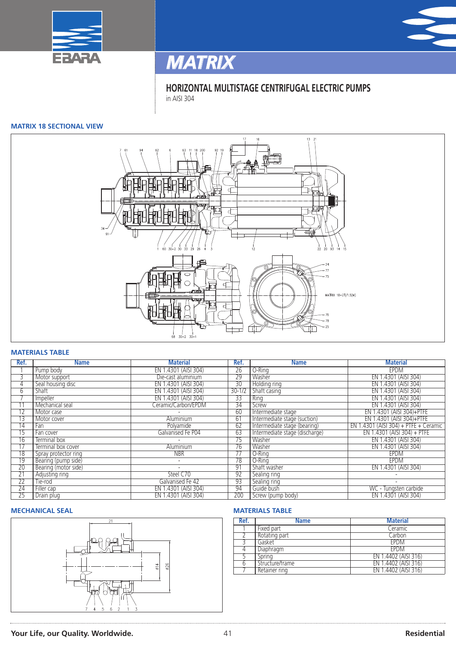



**HORIZONTAL MULTISTAGE CENTRIFUGAL ELECTRIC PUMPS** in AISI 304

### **MATRIX 18 SECTIONAL VIEW**



### **MATERIALS TABLE**

| Ref.            | <b>Name</b>          | <b>Material</b>          | Ref.            | <b>Name</b>                    | <b>Material</b>                       |
|-----------------|----------------------|--------------------------|-----------------|--------------------------------|---------------------------------------|
|                 | Pump body            | EN 1.4301 (AISI 304)     | 26              | O-Ring                         | <b>EPDM</b>                           |
| $\overline{3}$  | Motor support        | Die-cast aluminium       | 29              | Washer                         | EN 1.4301 (AISI 304)                  |
| 4               | Seal housing disc    | EN 1.4301 (AISI 304)     | $\overline{30}$ | <b>Holding ring</b>            | EN 1.4301 (AISI 304)                  |
| 6               | Shaft                | EN 1.4301 (AISI 304)     | $30 - 1/2$      | Shaft casing                   | EN 1.4301 (AISI 304)                  |
|                 | Impeller             | EN 1.4301 (AISI 304)     | 33              | Ring                           | EN 1.4301 (AISI 304)                  |
|                 | Mechanical seal      | Ceramic/Carbon/EPDM      | $\overline{34}$ | Screw                          | EN 1.4301 (AISI 304)                  |
| $1\overline{2}$ | Motor case           |                          | 60              | Intermediate stage             | EN 1.4301 (AISI 304)+PTFE             |
| 13              | Motor cover          | Aluminium                | 61              | Intermediate stage (suction)   | EN 1.4301 (AISI 304)+PTFE             |
| 14              | Fan                  | Polyamide                | 62              | Intermediate stage (bearing)   | EN 1.4301 (AISI 304) + PTFE + Ceramic |
| 15              | Fan cover            | Galvanised Fe P04        | 63              | Intermediate stage (discharge) | $EN$ 1.4301 (AISI 304) + PTFE         |
| $\overline{16}$ | Terminal box         |                          | 75              | Washer                         | EN 1.4301 (AISI 304)                  |
| 17              | Terminal box cover   | Aluminium                | 76              | Washer                         | EN 1.4301 (AISI 304)                  |
| $\overline{18}$ | Spray protector ring | <b>NBR</b>               | 77              | O-Ring                         | <b>EPDM</b>                           |
| 19              | Bearing (pump side)  | $\overline{\phantom{0}}$ | 78              | O-Ring                         | EPDM                                  |
| 20              | Bearing (motor side) |                          | 91              | Shaft washer                   | EN 1.4301 (AISI 304)                  |
| $\overline{21}$ | Adjusting ring       | Steel C70                | 92              | Sealing ring                   |                                       |
| $\overline{22}$ | Tie-rod              | Galvanised Fe 42         | 93              | Sealing ring                   |                                       |
| 24              | Filler cap           | EN 1.4301 (AISI 304)     | 94              | Guide bush                     | WC - Tungsten carbide                 |
| 25              | Drain plug           | EN 1.4301 (AISI 304)     | 200             | Screw (pump body)              | EN 1.4301 (AISI 304)                  |

### **MECHANICAL SEAL MATERIALS TABLE**



| Ref. | <b>Name</b>     | <b>Material</b>      |
|------|-----------------|----------------------|
|      | Fixed part      | Ceramic              |
|      | Rotating part   | Carbon               |
|      | Gasket          | <b>EPDM</b>          |
|      | Diaphragm       | <b>FPDM</b>          |
|      | Spring          | EN 1.4402 (AISI 316) |
|      | Structure/frame | EN 1.4402 (AISI 316) |
|      | Retainer ring   | EN 1.4402 (AISI 316) |